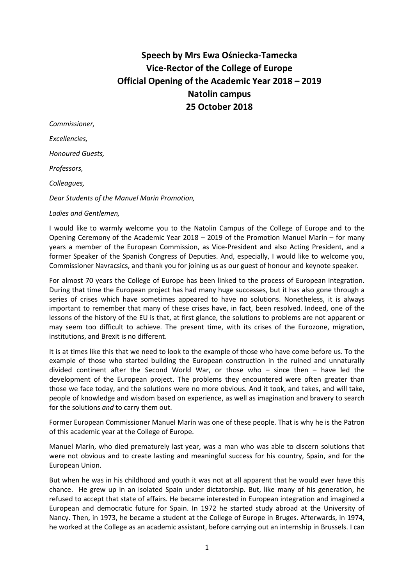# **Speech by Mrs Ewa Ośniecka-Tamecka Vice-Rector of the College of Europe Official Opening of the Academic Year 2018 – 2019 Natolin campus 25 October 2018**

| Commissioner,                                |
|----------------------------------------------|
| Excellencies,                                |
| Honoured Guests,                             |
| Professors,                                  |
| Colleagues,                                  |
| Dear Students of the Manuel Marín Promotion, |
| Ladies and Gentlemen,                        |

I would like to warmly welcome you to the Natolin Campus of the College of Europe and to the Opening Ceremony of the Academic Year 2018 – 2019 of the Promotion Manuel Marín – for many years a member of the European Commission, as Vice-President and also Acting President, and a former Speaker of the Spanish Congress of Deputies. And, especially, I would like to welcome you, Commissioner Navracsics, and thank you for joining us as our guest of honour and keynote speaker.

For almost 70 years the College of Europe has been linked to the process of European integration. During that time the European project has had many huge successes, but it has also gone through a series of crises which have sometimes appeared to have no solutions. Nonetheless, it is always important to remember that many of these crises have, in fact, been resolved. Indeed, one of the lessons of the history of the EU is that, at first glance, the solutions to problems are not apparent or may seem too difficult to achieve. The present time, with its crises of the Eurozone, migration, institutions, and Brexit is no different.

It is at times like this that we need to look to the example of those who have come before us. To the example of those who started building the European construction in the ruined and unnaturally divided continent after the Second World War, or those who – since then – have led the development of the European project. The problems they encountered were often greater than those we face today, and the solutions were no more obvious. And it took, and takes, and will take, people of knowledge and wisdom based on experience, as well as imagination and bravery to search for the solutions *and* to carry them out.

Former European Commissioner Manuel Marín was one of these people. That is why he is the Patron of this academic year at the College of Europe.

Manuel Marín, who died prematurely last year, was a man who was able to discern solutions that were not obvious and to create lasting and meaningful success for his country, Spain, and for the European Union.

But when he was in his childhood and youth it was not at all apparent that he would ever have this chance. He grew up in an isolated Spain under dictatorship. But, like many of his generation, he refused to accept that state of affairs. He became interested in European integration and imagined a European and democratic future for Spain. In 1972 he started study abroad at the University of Nancy. Then, in 1973, he became a student at the College of Europe in Bruges. Afterwards, in 1974, he worked at the College as an academic assistant, before carrying out an internship in Brussels. I can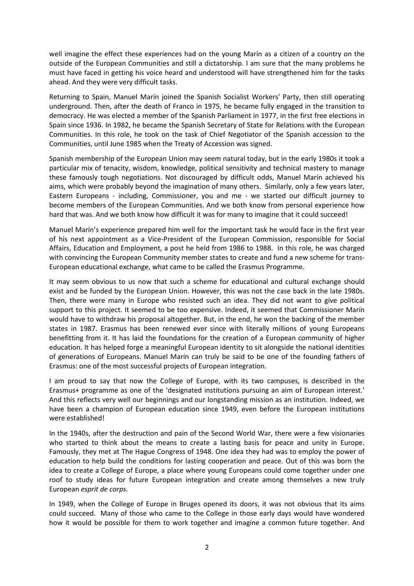well imagine the effect these experiences had on the young Marín as a citizen of a country on the outside of the European Communities and still a dictatorship. I am sure that the many problems he must have faced in getting his voice heard and understood will have strengthened him for the tasks ahead. And they were very difficult tasks.

Returning to Spain, Manuel Marín joined the Spanish Socialist Workers' Party, then still operating underground. Then, after the death of Franco in 1975, he became fully engaged in the transition to democracy. He was elected a member of the Spanish Parliament in 1977, in the first free elections in Spain since 1936. In 1982, he became the Spanish Secretary of State for Relations with the European Communities. In this role, he took on the task of Chief Negotiator of the Spanish accession to the Communities, until June 1985 when the Treaty of Accession was signed.

Spanish membership of the European Union may seem natural today, but in the early 1980s it took a particular mix of tenacity, wisdom, knowledge, political sensitivity and technical mastery to manage these famously tough negotiations. Not discouraged by difficult odds, Manuel Marín achieved his aims, which were probably beyond the imagination of many others. Similarly, only a few years later, Eastern Europeans - including, Commissioner, you and me - we started our difficult journey to become members of the European Communities. And we both know from personal experience how hard that was. And we both know how difficult it was for many to imagine that it could succeed!

Manuel Marín's experience prepared him well for the important task he would face in the first year of his next appointment as a Vice-President of the European Commission, responsible for Social Affairs, Education and Employment, a post he held from 1986 to 1988. In this role, he was charged with convincing the European Community member states to create and fund a new scheme for trans-European educational exchange, what came to be called the Erasmus Programme.

It may seem obvious to us now that such a scheme for educational and cultural exchange should exist and be funded by the European Union. However, this was not the case back in the late 1980s. Then, there were many in Europe who resisted such an idea. They did not want to give political support to this project. It seemed to be too expensive. Indeed, it seemed that Commissioner Marín would have to withdraw his proposal altogether. But, in the end, he won the backing of the member states in 1987. Erasmus has been renewed ever since with literally millions of young Europeans benefitting from it. It has laid the foundations for the creation of a European community of higher education. It has helped forge a meaningful European identity to sit alongside the national identities of generations of Europeans. Manuel Marín can truly be said to be one of the founding fathers of Erasmus: one of the most successful projects of European integration.

I am proud to say that now the College of Europe, with its two campuses, is described in the Erasmus+ programme as one of the 'designated institutions pursuing an aim of European interest.' And this reflects very well our beginnings and our longstanding mission as an institution. Indeed, we have been a champion of European education since 1949, even before the European institutions were established!

In the 1940s, after the destruction and pain of the Second World War, there were a few visionaries who started to think about the means to create a lasting basis for peace and unity in Europe. Famously, they met at The Hague Congress of 1948. One idea they had was to employ the power of education to help build the conditions for lasting cooperation and peace. Out of this was born the idea to create a College of Europe, a place where young Europeans could come together under one roof to study ideas for future European integration and create among themselves a new truly European *esprit de corps*.

In 1949, when the College of Europe in Bruges opened its doors, it was not obvious that its aims could succeed. Many of those who came to the College in those early days would have wondered how it would be possible for them to work together and imagine a common future together. And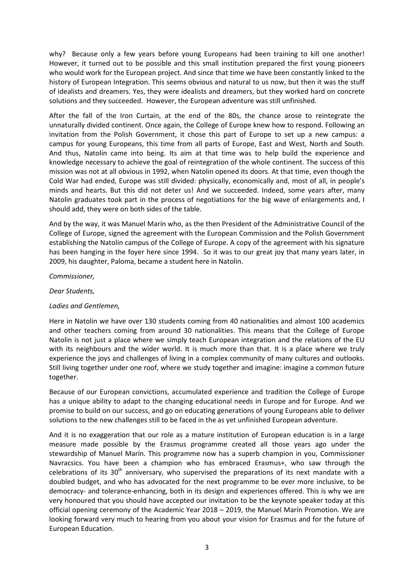why? Because only a few years before young Europeans had been training to kill one another! However, it turned out to be possible and this small institution prepared the first young pioneers who would work for the European project. And since that time we have been constantly linked to the history of European Integration. This seems obvious and natural to us now, but then it was the stuff of idealists and dreamers. Yes, they were idealists and dreamers, but they worked hard on concrete solutions and they succeeded. However, the European adventure was still unfinished.

After the fall of the Iron Curtain, at the end of the 80s, the chance arose to reintegrate the unnaturally divided continent. Once again, the College of Europe knew how to respond. Following an invitation from the Polish Government, it chose this part of Europe to set up a new campus: a campus for young Europeans, this time from all parts of Europe, East and West, North and South. And thus, Natolin came into being. Its aim at that time was to help build the experience and knowledge necessary to achieve the goal of reintegration of the whole continent. The success of this mission was not at all obvious in 1992, when Natolin opened its doors. At that time, even though the Cold War had ended, Europe was still divided: physically, economically and, most of all, in people's minds and hearts. But this did not deter us! And we succeeded. Indeed, some years after, many Natolin graduates took part in the process of negotiations for the big wave of enlargements and, I should add, they were on both sides of the table.

And by the way, it was Manuel Marín who, as the then President of the Administrative Council of the College of Europe, signed the agreement with the European Commission and the Polish Government establishing the Natolin campus of the College of Europe. A copy of the agreement with his signature has been hanging in the foyer here since 1994. So it was to our great joy that many years later, in 2009, his daughter, Paloma, became a student here in Natolin.

#### *Commissioner,*

### *Dear Students,*

## *Ladies and Gentlemen,*

Here in Natolin we have over 130 students coming from 40 nationalities and almost 100 academics and other teachers coming from around 30 nationalities. This means that the College of Europe Natolin is not just a place where we simply teach European integration and the relations of the EU with its neighbours and the wider world. It is much more than that. It is a place where we truly experience the joys and challenges of living in a complex community of many cultures and outlooks. Still living together under one roof, where we study together and imagine: imagine a common future together.

Because of our European convictions, accumulated experience and tradition the College of Europe has a unique ability to adapt to the changing educational needs in Europe and for Europe. And we promise to build on our success, and go on educating generations of young Europeans able to deliver solutions to the new challenges still to be faced in the as yet unfinished European adventure.

And it is no exaggeration that our role as a mature institution of European education is in a large measure made possible by the Erasmus programme created all those years ago under the stewardship of Manuel Marín. This programme now has a superb champion in you, Commissioner Navracsics. You have been a champion who has embraced Erasmus+, who saw through the celebrations of its  $30<sup>th</sup>$  anniversary, who supervised the preparations of its next mandate with a doubled budget, and who has advocated for the next programme to be ever more inclusive, to be democracy- and tolerance-enhancing, both in its design and experiences offered. This is why we are very honoured that you should have accepted our invitation to be the keynote speaker today at this official opening ceremony of the Academic Year 2018 – 2019, the Manuel Marín Promotion. We are looking forward very much to hearing from you about your vision for Erasmus and for the future of European Education.